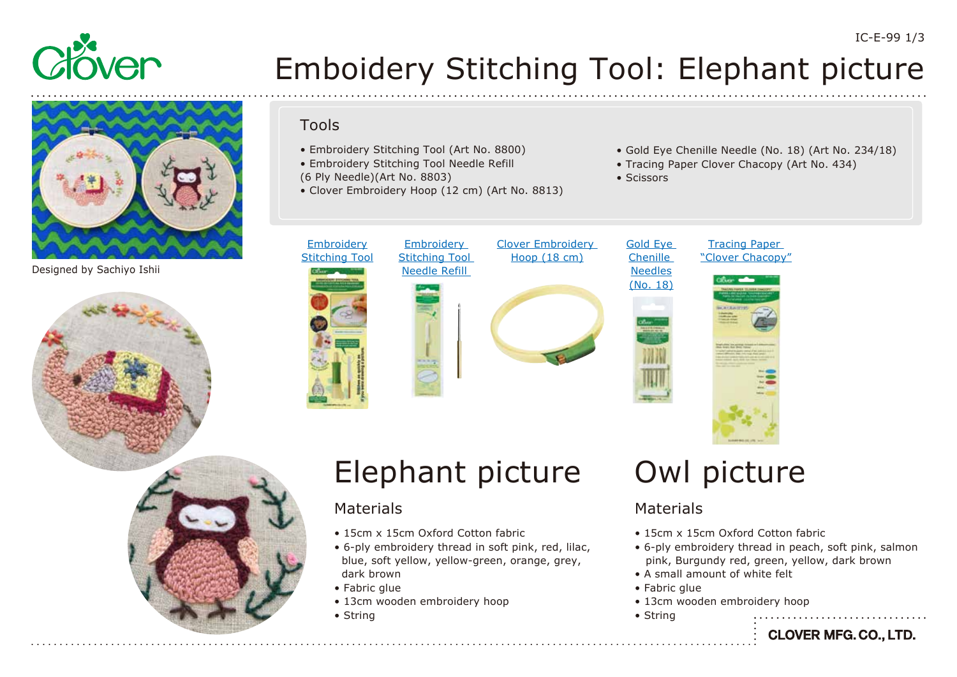

# Emboidery Stitching Tool: Elephant picture

• Scissors

[Gold Eye](https://www.clover-mfg.com/product/6/245)  Chenille

Designed by Sachiyo Ishii



### • Embroidery Stitching Tool (Art No. 8800)

- Embroidery Stitching Tool Needle Refill
- (6 Ply Needle)(Art No. 8803)

Tools

- Clover Embroidery Hoop (12 cm) (Art No. 8813)
- **Embroidery** [Stitching Tool](https://www.clover-mfg.com/product/12/112) **Embroidery** [Stitching Tool](https://www.clover-mfg.com/product/12/113)  Needle Refill



### [Clover Embroidery](https://www.clover-mfg.com/product/12/114)  Hoop (18 cm)



### Tracing Paper ["Clover Chacopy"](https://www.clover-mfg.com/product/8/301)

• Gold Eye Chenille Needle (No. 18) (Art No. 234/18)

• Tracing Paper Clover Chacopy (Art No. 434)



# Elephant picture

### Materials

- 15cm x 15cm Oxford Cotton fabric
- 6-ply embroidery thread in soft pink, red, lilac, blue, soft yellow, yellow-green, orange, grey, dark brown
- Fabric glue
- 13cm wooden embroidery hoop
- String

### Owl picture

### Materials

- 15cm x 15cm Oxford Cotton fabric
- 6-ply embroidery thread in peach, soft pink, salmon pink, Burgundy red, green, yellow, dark brown
- A small amount of white felt
- Fabric glue
- 13cm wooden embroidery hoop
- String

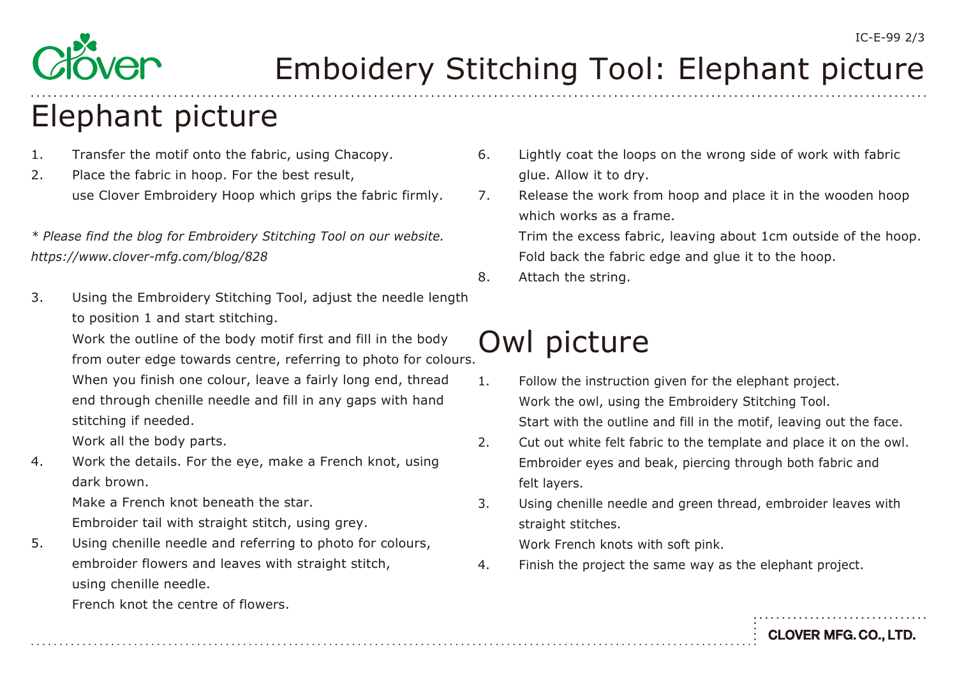

# Emboidery Stitching Tool: Elephant picture

## Elephant picture

- 1. Transfer the motif onto the fabric, using Chacopy.
- 2. Place the fabric in hoop. For the best result, use Clover Embroidery Hoop which grips the fabric firmly.

*\* Please find the blog for Embroidery Stitching Tool on our website. <https://www.clover-mfg.com/blog/828>*

3. Using the Embroidery Stitching Tool, adjust the needle length to position 1 and start stitching.

 Work the outline of the body motif first and fill in the body from outer edge towards centre, referring to photo for colours.

 When you finish one colour, leave a fairly long end, thread end through chenille needle and fill in any gaps with hand stitching if needed.

Work all the body parts.

4. Work the details. For the eye, make a French knot, using dark brown.

 Make a French knot beneath the star. Embroider tail with straight stitch, using grey.

5. Using chenille needle and referring to photo for colours, embroider flowers and leaves with straight stitch, using chenille needle.

- 6. Lightly coat the loops on the wrong side of work with fabric glue. Allow it to dry.
- 7. Release the work from hoop and place it in the wooden hoop which works as a frame.

 Trim the excess fabric, leaving about 1cm outside of the hoop. Fold back the fabric edge and glue it to the hoop.

8. Attach the string.

## Owl picture

- 1. Follow the instruction given for the elephant project. Work the owl, using the Embroidery Stitching Tool. Start with the outline and fill in the motif, leaving out the face.
- 2. Cut out white felt fabric to the template and place it on the owl. Embroider eyes and beak, piercing through both fabric and felt layers.
- 3. Using chenille needle and green thread, embroider leaves with straight stitches.

Work French knots with soft pink.

4. Finish the project the same way as the elephant project.

French knot the centre of flowers.

**CLOVER MFG. CO., LTD.**